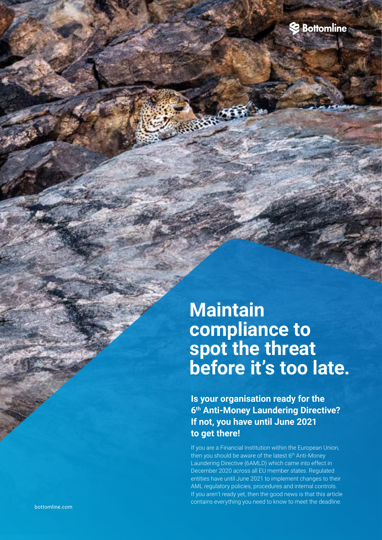

# **Maintain compliance to spot the threat before it's too late.**

nen.

**Is your organisation ready for the 6th Anti-Money Laundering Directive? If not, you have until June 2021 to get there!**

If you are a Financial Institution within the European Union, then you should be aware of the latest 6<sup>th</sup> Anti-Money Laundering Directive (6AMLD) which came into effect in December 2020 across all EU member states. Regulated entities have until June 2021 to implement changes to their AML regulatory policies, procedures and internal controls. If you aren't ready yet, then the good news is that this article contains everything you need to know to meet the deadline.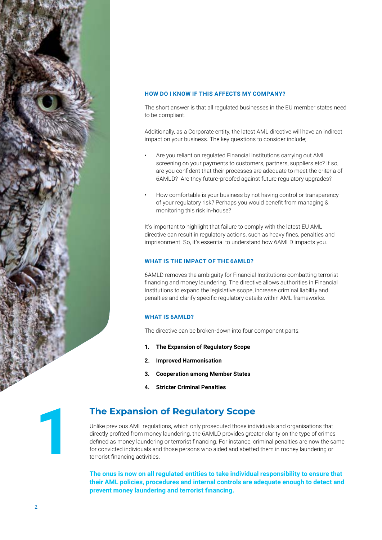

#### **HOW DO I KNOW IF THIS AFFECTS MY COMPANY?**

The short answer is that all regulated businesses in the EU member states need to be compliant.

Additionally, as a Corporate entity, the latest AML directive will have an indirect impact on your business. The key questions to consider include;

- Are you reliant on regulated Financial Institutions carrying out AML screening on your payments to customers, partners, suppliers etc? If so, are you confident that their processes are adequate to meet the criteria of 6AMLD? Are they future-proofed against future regulatory upgrades?
- How comfortable is your business by not having control or transparency of your regulatory risk? Perhaps you would benefit from managing & monitoring this risk in-house?

It's important to highlight that failure to comply with the latest EU AML directive can result in regulatory actions, such as heavy fines, penalties and imprisonment. So, it's essential to understand how 6AMLD impacts you.

#### **WHAT IS THE IMPACT OF THE 6AMLD?**

6AMLD removes the ambiguity for Financial Institutions combatting terrorist financing and money laundering. The directive allows authorities in Financial Institutions to expand the legislative scope, increase criminal liability and penalties and clarify specific regulatory details within AML frameworks.

#### **WHAT IS 6AMLD?**

The directive can be broken-down into four component parts:

- **1. The Expansion of Regulatory Scope**
- **2. Improved Harmonisation**
- **3. Cooperation among Member States**
- **4. Stricter Criminal Penalties**

### **The Expansion of Regulatory Scope**

Unlike previous AML regulations, which only prosecuted those individuals and organisations that directly profited from money laundering, the 6AMLD provides greater clarity on the type of crimes defined as money laundering or terrorist financing. For instance, criminal penalties are now the same for convicted individuals and those persons who aided and abetted them in money laundering or terrorist financing activities.

**The onus is now on all regulated entities to take individual responsibility to ensure that their AML policies, procedures and internal controls are adequate enough to detect and prevent money laundering and terrorist financing.**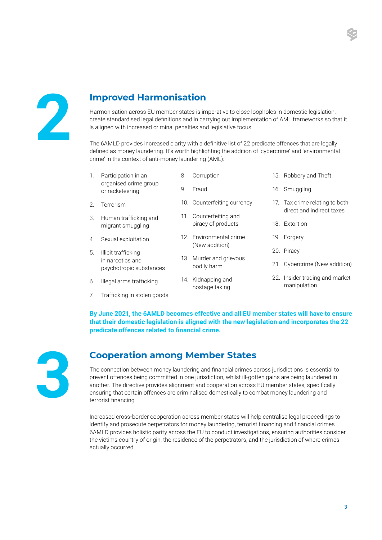

## **Improved Harmonisation**

Harmonisation across EU member states is imperative to close loopholes in domestic legislation, create standardised legal definitions and in carrying out implementation of AML frameworks so that it is aligned with increased criminal penalties and legislative focus.

The 6AMLD provides increased clarity with a definitive list of 22 predicate offences that are legally defined as money laundering. It's worth highlighting the addition of 'cybercrime' and 'environmental crime' in the context of anti-money laundering (AML):

| 1. | Participation in an<br>organised crime group<br>or racketeering    | 8. | Corruption                                   | 15. Robbery and Theft                                       |
|----|--------------------------------------------------------------------|----|----------------------------------------------|-------------------------------------------------------------|
|    |                                                                    | 9. | Fraud                                        | 16. Smuggling                                               |
| 2. | Terrorism                                                          |    | 10. Counterfeiting currency                  | 17. Tax crime relating to both<br>direct and indirect taxes |
| 3. | Human trafficking and<br>migrant smuggling                         |    | 11. Counterfeiting and<br>piracy of products |                                                             |
|    |                                                                    |    |                                              | 18. Extortion                                               |
| 4. | Sexual exploitation                                                |    | 12. Environmental crime<br>(New addition)    | 19. Forgery                                                 |
| 5. | Illicit trafficking<br>in narcotics and<br>psychotropic substances |    |                                              | 20. Piracy                                                  |
|    |                                                                    |    | 13. Murder and grievous<br>bodily harm       | 21. Cybercrime (New addition)                               |
| 6. | Illegal arms trafficking                                           |    | 14. Kidnapping and<br>hostage taking         | 22. Insider trading and market<br>manipulation              |

7. Trafficking in stolen goods

**By June 2021, the 6AMLD becomes effective and all EU member states will have to ensure that their domestic legislation is aligned with the new legislation and incorporates the 22 predicate offences related to financial crime.**



## **Cooperation among Member States**

The connection between money laundering and financial crimes across jurisdictions is essential to prevent offences being committed in one jurisdiction, whilst ill-gotten gains are being laundered in another. The directive provides alignment and cooperation across EU member states, specifically ensuring that certain offences are criminalised domestically to combat money laundering and terrorist financing.

Increased cross-border cooperation across member states will help centralise legal proceedings to identify and prosecute perpetrators for money laundering, terrorist financing and financial crimes. 6AMLD provides holistic parity across the EU to conduct investigations, ensuring authorities consider the victims country of origin, the residence of the perpetrators, and the jurisdiction of where crimes actually occurred.